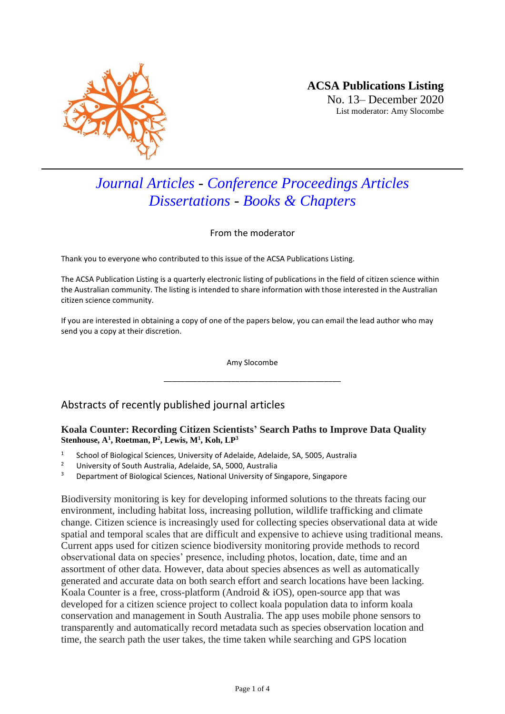

# *Journal Articles - Conference Proceedings Articles Dissertations - Books & Chapters*

From the moderator

Thank you to everyone who contributed to this issue of the ACSA Publications Listing.

The ACSA Publication Listing is a quarterly electronic listing of publications in the field of citizen science within the Australian community. The listing is intended to share information with those interested in the Australian citizen science community.

If you are interested in obtaining a copy of one of the papers below, you can email the lead author who may send you a copy at their discretion.

> Amy Slocombe \_\_\_\_\_\_\_\_\_\_\_\_\_\_\_\_\_\_\_\_\_\_\_\_\_\_\_\_\_\_\_\_\_\_\_\_\_\_\_\_\_\_

# Abstracts of recently published journal articles

## **Koala Counter: Recording Citizen Scientists' Search Paths to Improve Data Quality Stenhouse, A<sup>1</sup> , Roetman, P<sup>2</sup> , Lewis, M<sup>1</sup> , Koh, LP<sup>3</sup>**

- 1 School of Biological Sciences, University of Adelaide, Adelaide, SA, 5005, Australia
- <sup>2</sup> University of South Australia, Adelaide, SA, 5000, Australia<br><sup>3</sup> Department of Biological Sciences, National University of S
- Department of Biological Sciences, National University of Singapore, Singapore

Biodiversity monitoring is key for developing informed solutions to the threats facing our environment, including habitat loss, increasing pollution, wildlife trafficking and climate change. Citizen science is increasingly used for collecting species observational data at wide spatial and temporal scales that are difficult and expensive to achieve using traditional means. Current apps used for citizen science biodiversity monitoring provide methods to record observational data on species' presence, including photos, location, date, time and an assortment of other data. However, data about species absences as well as automatically generated and accurate data on both search effort and search locations have been lacking. Koala Counter is a free, cross-platform (Android  $\&$  iOS), open-source app that was developed for a citizen science project to collect koala population data to inform koala conservation and management in South Australia. The app uses mobile phone sensors to transparently and automatically record metadata such as species observation location and time, the search path the user takes, the time taken while searching and GPS location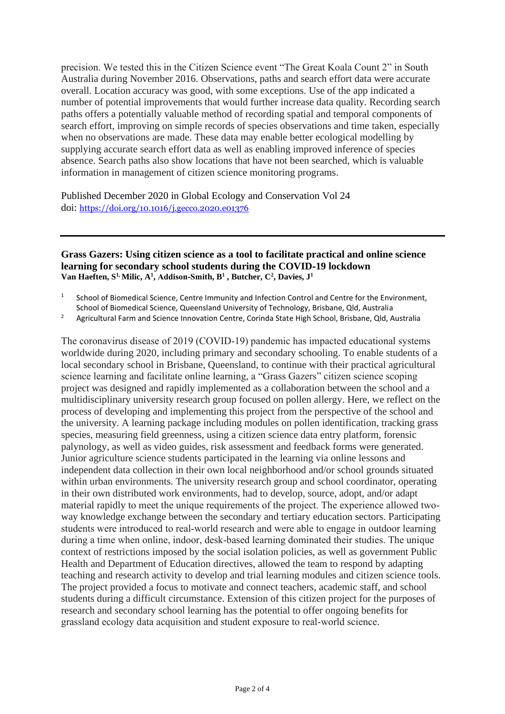precision. We tested this in the Citizen Science event "The Great Koala Count 2" in South Australia during November 2016. Observations, paths and search effort data were accurate overall. Location accuracy was good, with some exceptions. Use of the app indicated a number of potential improvements that would further increase data quality. Recording search paths offers a potentially valuable method of recording spatial and temporal components of search effort, improving on simple records of species observations and time taken, especially when no observations are made. These data may enable better ecological modelling by supplying accurate search effort data as well as enabling improved inference of species absence. Search paths also show locations that have not been searched, which is valuable information in management of citizen science monitoring programs.

Published December 2020 in Global Ecology and Conservation Vol 24 doi: <https://doi.org/10.1016/j.gecco.2020.e01376>

#### **Grass Gazers: Using citizen science as a tool to facilitate practical and online science learning for secondary school students during the COVID‐19 lockdown [Van Haeften,](https://onlinelibrary.wiley.com/action/doSearch?ContribAuthorStored=van+Haeften%2C+Shanice) S 1, [Milic,](https://onlinelibrary.wiley.com/action/doSearch?ContribAuthorStored=Milic%2C+Andelija) A<sup>1</sup> , [Addison‐Smith,](https://onlinelibrary.wiley.com/action/doSearch?ContribAuthorStored=Addison-Smith%2C+Beth) B 1 , [Butcher,](https://onlinelibrary.wiley.com/action/doSearch?ContribAuthorStored=Butcher%2C+Christopher) C<sup>2</sup> [, Davies,](https://onlinelibrary.wiley.com/action/doSearch?ContribAuthorStored=Davies%2C+Janet+Mary) J<sup>1</sup>**

- 1 School of Biomedical Science, Centre Immunity and Infection Control and Centre for the Environment, School of Biomedical Science, Queensland University of Technology, Brisbane, Qld, Australia
- <sup>2</sup> Agricultural Farm and Science Innovation Centre, Corinda State High School, Brisbane, Qld, Australia

The coronavirus disease of 2019 (COVID‐19) pandemic has impacted educational systems worldwide during 2020, including primary and secondary schooling. To enable students of a local secondary school in Brisbane, Queensland, to continue with their practical agricultural science learning and facilitate online learning, a "Grass Gazers" citizen science scoping project was designed and rapidly implemented as a collaboration between the school and a multidisciplinary university research group focused on pollen allergy. Here, we reflect on the process of developing and implementing this project from the perspective of the school and the university. A learning package including modules on pollen identification, tracking grass species, measuring field greenness, using a citizen science data entry platform, forensic palynology, as well as video guides, risk assessment and feedback forms were generated. Junior agriculture science students participated in the learning via online lessons and independent data collection in their own local neighborhood and/or school grounds situated within urban environments. The university research group and school coordinator, operating in their own distributed work environments, had to develop, source, adopt, and/or adapt material rapidly to meet the unique requirements of the project. The experience allowed twoway knowledge exchange between the secondary and tertiary education sectors. Participating students were introduced to real‐world research and were able to engage in outdoor learning during a time when online, indoor, desk‐based learning dominated their studies. The unique context of restrictions imposed by the social isolation policies, as well as government Public Health and Department of Education directives, allowed the team to respond by adapting teaching and research activity to develop and trial learning modules and citizen science tools. The project provided a focus to motivate and connect teachers, academic staff, and school students during a difficult circumstance. Extension of this citizen project for the purposes of research and secondary school learning has the potential to offer ongoing benefits for grassland ecology data acquisition and student exposure to real‐world science.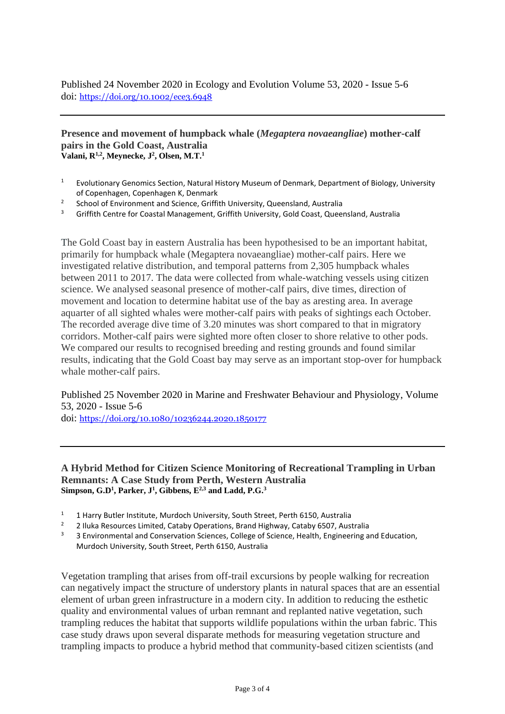Published 24 November 2020 in Ecology and Evolution [Volume 53, 2020 -](https://www.tandfonline.com/toc/gmfw20/53/5-6) Issue 5-6 doi: <https://doi.org/10.1002/ece3.6948>

#### **Presence and movement of humpback whale (***Megaptera novaeangliae***) mother-calf pairs in the Gold Coast, Australia Valani, R1,2, Meynecke, J 2 , Olsen, M.T.<sup>1</sup>**

- <sup>1</sup> Evolutionary Genomics Section, Natural History Museum of Denmark, Department of Biology, University of Copenhagen, Copenhagen K, Denmark
- 2 School of Environment and Science, Griffith University, Queensland, Australia
- <sup>3</sup> Griffith Centre for Coastal Management, Griffith University, Gold Coast, Queensland, Australia

The Gold Coast bay in eastern Australia has been hypothesised to be an important habitat, primarily for humpback whale (Megaptera novaeangliae) mother-calf pairs. Here we investigated relative distribution, and temporal patterns from 2,305 humpback whales between 2011 to 2017. The data were collected from whale-watching vessels using citizen science. We analysed seasonal presence of mother-calf pairs, dive times, direction of movement and location to determine habitat use of the bay as aresting area. In average aquarter of all sighted whales were mother-calf pairs with peaks of sightings each October. The recorded average dive time of 3.20 minutes was short compared to that in migratory corridors. Mother-calf pairs were sighted more often closer to shore relative to other pods. We compared our results to recognised breeding and resting grounds and found similar results, indicating that the Gold Coast bay may serve as an important stop-over for humpback whale mother-calf pairs.

Published 25 November 2020 in [Marine and Freshwater Behaviour and Physiology,](https://www.tandfonline.com/toc/gmfw20/current) [Volume](https://www.tandfonline.com/toc/gmfw20/53/5-6)  [53, 2020 -](https://www.tandfonline.com/toc/gmfw20/53/5-6) Issue 5-6

doi: <https://doi.org/10.1080/10236244.2020.1850177>

## **A Hybrid Method for Citizen Science Monitoring of Recreational Trampling in Urban Remnants: A Case Study from Perth, Western Australia**  $\textbf{Simpson, G.D}^1$ ,  $\textbf{Parker, J}^1$ ,  $\textbf{Gibbens, E}^{2,3}$  and  $\textbf{Ladd, P.G.}^3$

- <sup>1</sup> 1 Harry Butler Institute, Murdoch University, South Street, Perth 6150, Australia<sup>2</sup>
- <sup>2</sup> 2 Iluka Resources Limited, Cataby Operations, Brand Highway, Cataby 6507, Australia<br><sup>3</sup> 2 Environmental and Conservation Sciences, College of Science, Hoalth, Engineering at
- <sup>3</sup> 3 Environmental and Conservation Sciences, College of Science, Health, Engineering and Education, Murdoch University, South Street, Perth 6150, Australia

Vegetation trampling that arises from off-trail excursions by people walking for recreation can negatively impact the structure of understory plants in natural spaces that are an essential element of urban green infrastructure in a modern city. In addition to reducing the esthetic quality and environmental values of urban remnant and replanted native vegetation, such trampling reduces the habitat that supports wildlife populations within the urban fabric. This case study draws upon several disparate methods for measuring vegetation structure and trampling impacts to produce a hybrid method that community-based citizen scientists (and